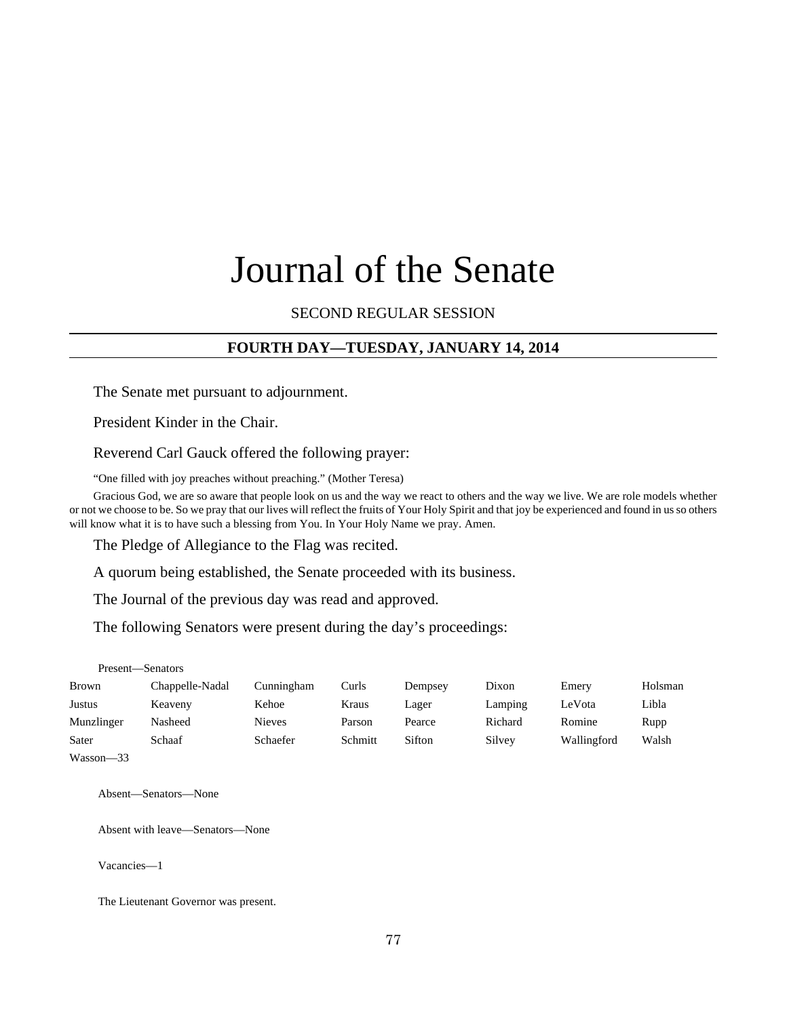# Journal of the Senate

SECOND REGULAR SESSION

# **FOURTH DAY—TUESDAY, JANUARY 14, 2014**

The Senate met pursuant to adjournment.

President Kinder in the Chair.

Reverend Carl Gauck offered the following prayer:

"One filled with joy preaches without preaching." (Mother Teresa)

Gracious God, we are so aware that people look on us and the way we react to others and the way we live. We are role models whether or not we choose to be. So we pray that our lives will reflect the fruits of Your Holy Spirit and that joy be experienced and found in us so others will know what it is to have such a blessing from You. In Your Holy Name we pray. Amen.

The Pledge of Allegiance to the Flag was recited.

A quorum being established, the Senate proceeded with its business.

The Journal of the previous day was read and approved.

The following Senators were present during the day's proceedings:

Present—Senators

| <b>Brown</b>  | Chappelle-Nadal | Cunningham      | Curls   | Dempsey | Dixon   | Emery       | Holsman |
|---------------|-----------------|-----------------|---------|---------|---------|-------------|---------|
| Justus        | Keaveny         | Kehoe           | Kraus   | Lager   | Lamping | LeVota      | Libla   |
| Munzlinger    | Nasheed         | <b>Nieves</b>   | Parson  | Pearce  | Richard | Romine      | Rupp    |
| Sater         | Schaaf          | <b>Schaefer</b> | Schmitt | Sifton  | Silvey  | Wallingford | Walsh   |
| $Wasson - 33$ |                 |                 |         |         |         |             |         |

Absent—Senators—None

Absent with leave—Senators—None

Vacancies—1

The Lieutenant Governor was present.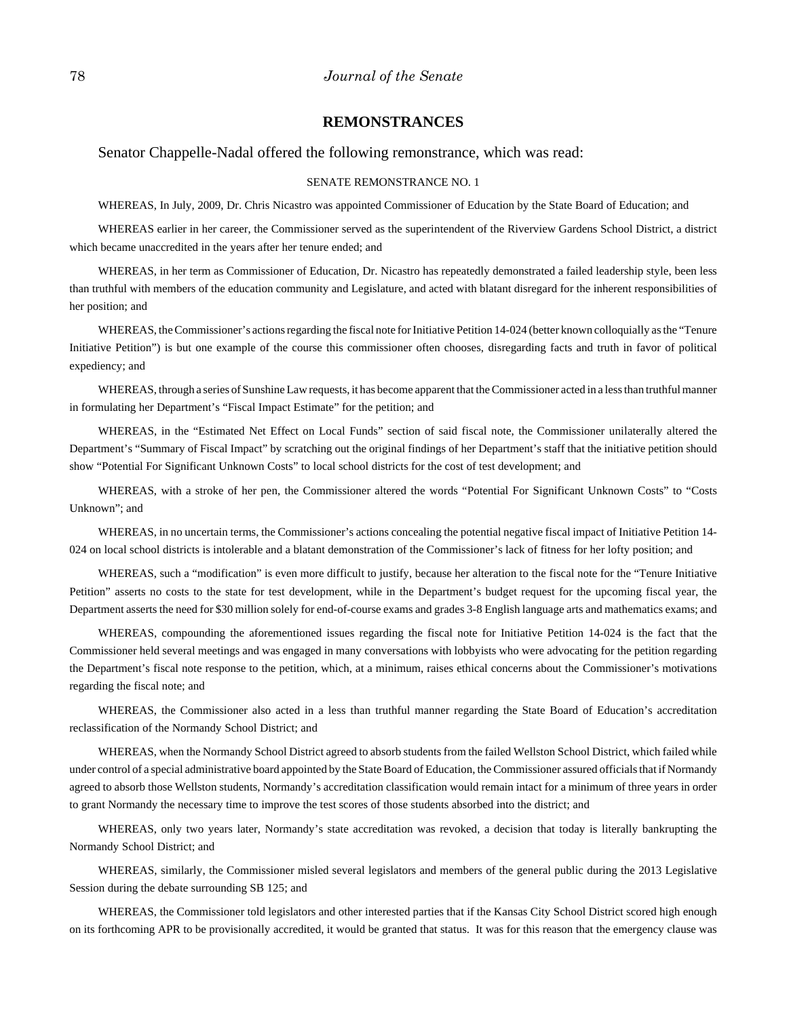#### **REMONSTRANCES**

#### Senator Chappelle-Nadal offered the following remonstrance, which was read:

#### SENATE REMONSTRANCE NO. 1

WHEREAS, In July, 2009, Dr. Chris Nicastro was appointed Commissioner of Education by the State Board of Education; and

WHEREAS earlier in her career, the Commissioner served as the superintendent of the Riverview Gardens School District, a district which became unaccredited in the years after her tenure ended; and

WHEREAS, in her term as Commissioner of Education, Dr. Nicastro has repeatedly demonstrated a failed leadership style, been less than truthful with members of the education community and Legislature, and acted with blatant disregard for the inherent responsibilities of her position; and

WHEREAS, the Commissioner's actions regarding the fiscal note for Initiative Petition 14-024 (better known colloquially as the "Tenure Initiative Petition") is but one example of the course this commissioner often chooses, disregarding facts and truth in favor of political expediency; and

WHEREAS, through a series of Sunshine Law requests, it has become apparent that the Commissioner acted in a less than truthful manner in formulating her Department's "Fiscal Impact Estimate" for the petition; and

WHEREAS, in the "Estimated Net Effect on Local Funds" section of said fiscal note, the Commissioner unilaterally altered the Department's "Summary of Fiscal Impact" by scratching out the original findings of her Department's staff that the initiative petition should show "Potential For Significant Unknown Costs" to local school districts for the cost of test development; and

WHEREAS, with a stroke of her pen, the Commissioner altered the words "Potential For Significant Unknown Costs" to "Costs Unknown"; and

WHEREAS, in no uncertain terms, the Commissioner's actions concealing the potential negative fiscal impact of Initiative Petition 14- 024 on local school districts is intolerable and a blatant demonstration of the Commissioner's lack of fitness for her lofty position; and

WHEREAS, such a "modification" is even more difficult to justify, because her alteration to the fiscal note for the "Tenure Initiative Petition" asserts no costs to the state for test development, while in the Department's budget request for the upcoming fiscal year, the Department asserts the need for \$30 million solely for end-of-course exams and grades 3-8 English language arts and mathematics exams; and

WHEREAS, compounding the aforementioned issues regarding the fiscal note for Initiative Petition 14-024 is the fact that the Commissioner held several meetings and was engaged in many conversations with lobbyists who were advocating for the petition regarding the Department's fiscal note response to the petition, which, at a minimum, raises ethical concerns about the Commissioner's motivations regarding the fiscal note; and

WHEREAS, the Commissioner also acted in a less than truthful manner regarding the State Board of Education's accreditation reclassification of the Normandy School District; and

WHEREAS, when the Normandy School District agreed to absorb students from the failed Wellston School District, which failed while under control of a special administrative board appointed by the State Board of Education, the Commissioner assured officials that if Normandy agreed to absorb those Wellston students, Normandy's accreditation classification would remain intact for a minimum of three years in order to grant Normandy the necessary time to improve the test scores of those students absorbed into the district; and

WHEREAS, only two years later, Normandy's state accreditation was revoked, a decision that today is literally bankrupting the Normandy School District; and

WHEREAS, similarly, the Commissioner misled several legislators and members of the general public during the 2013 Legislative Session during the debate surrounding SB 125; and

WHEREAS, the Commissioner told legislators and other interested parties that if the Kansas City School District scored high enough on its forthcoming APR to be provisionally accredited, it would be granted that status. It was for this reason that the emergency clause was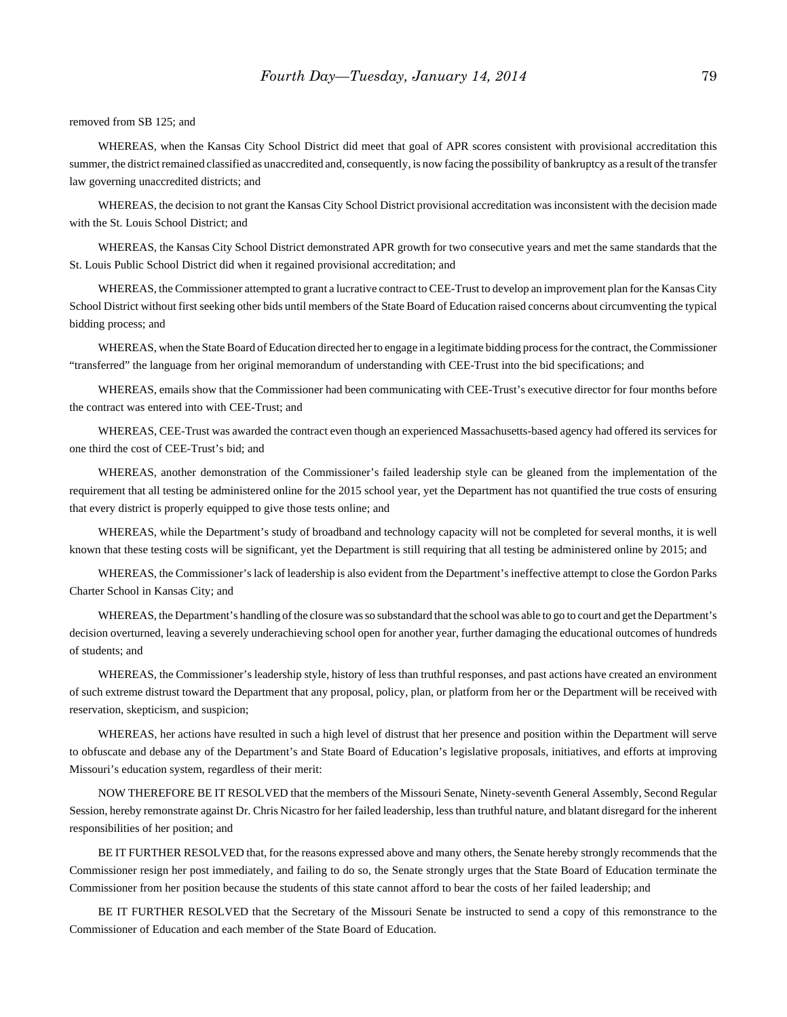removed from SB 125; and

WHEREAS, when the Kansas City School District did meet that goal of APR scores consistent with provisional accreditation this summer, the district remained classified as unaccredited and, consequently, is now facing the possibility of bankruptcy as a result of the transfer law governing unaccredited districts; and

WHEREAS, the decision to not grant the Kansas City School District provisional accreditation was inconsistent with the decision made with the St. Louis School District; and

WHEREAS, the Kansas City School District demonstrated APR growth for two consecutive years and met the same standards that the St. Louis Public School District did when it regained provisional accreditation; and

WHEREAS, the Commissioner attempted to grant a lucrative contract to CEE-Trust to develop an improvement plan for the Kansas City School District without first seeking other bids until members of the State Board of Education raised concerns about circumventing the typical bidding process; and

WHEREAS, when the State Board of Education directed her to engage in a legitimate bidding process for the contract, the Commissioner "transferred" the language from her original memorandum of understanding with CEE-Trust into the bid specifications; and

WHEREAS, emails show that the Commissioner had been communicating with CEE-Trust's executive director for four months before the contract was entered into with CEE-Trust; and

WHEREAS, CEE-Trust was awarded the contract even though an experienced Massachusetts-based agency had offered its services for one third the cost of CEE-Trust's bid; and

WHEREAS, another demonstration of the Commissioner's failed leadership style can be gleaned from the implementation of the requirement that all testing be administered online for the 2015 school year, yet the Department has not quantified the true costs of ensuring that every district is properly equipped to give those tests online; and

WHEREAS, while the Department's study of broadband and technology capacity will not be completed for several months, it is well known that these testing costs will be significant, yet the Department is still requiring that all testing be administered online by 2015; and

WHEREAS, the Commissioner's lack of leadership is also evident from the Department's ineffective attempt to close the Gordon Parks Charter School in Kansas City; and

WHEREAS, the Department's handling of the closure was so substandard that the school was able to go to court and get the Department's decision overturned, leaving a severely underachieving school open for another year, further damaging the educational outcomes of hundreds of students; and

WHEREAS, the Commissioner's leadership style, history of less than truthful responses, and past actions have created an environment of such extreme distrust toward the Department that any proposal, policy, plan, or platform from her or the Department will be received with reservation, skepticism, and suspicion;

WHEREAS, her actions have resulted in such a high level of distrust that her presence and position within the Department will serve to obfuscate and debase any of the Department's and State Board of Education's legislative proposals, initiatives, and efforts at improving Missouri's education system, regardless of their merit:

NOW THEREFORE BE IT RESOLVED that the members of the Missouri Senate, Ninety-seventh General Assembly, Second Regular Session, hereby remonstrate against Dr. Chris Nicastro for her failed leadership, less than truthful nature, and blatant disregard for the inherent responsibilities of her position; and

BE IT FURTHER RESOLVED that, for the reasons expressed above and many others, the Senate hereby strongly recommends that the Commissioner resign her post immediately, and failing to do so, the Senate strongly urges that the State Board of Education terminate the Commissioner from her position because the students of this state cannot afford to bear the costs of her failed leadership; and

BE IT FURTHER RESOLVED that the Secretary of the Missouri Senate be instructed to send a copy of this remonstrance to the Commissioner of Education and each member of the State Board of Education.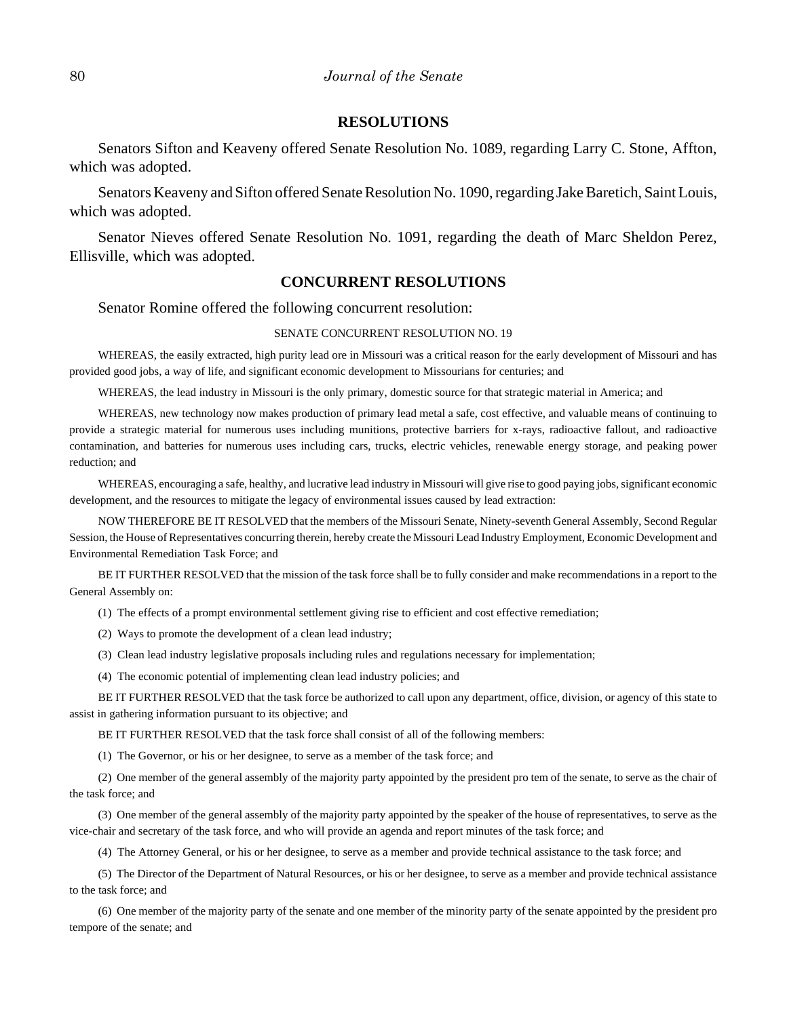#### **RESOLUTIONS**

Senators Sifton and Keaveny offered Senate Resolution No. 1089, regarding Larry C. Stone, Affton, which was adopted.

Senators Keaveny and Sifton offered Senate Resolution No. 1090, regarding Jake Baretich, Saint Louis, which was adopted.

Senator Nieves offered Senate Resolution No. 1091, regarding the death of Marc Sheldon Perez, Ellisville, which was adopted.

### **CONCURRENT RESOLUTIONS**

Senator Romine offered the following concurrent resolution:

#### SENATE CONCURRENT RESOLUTION NO. 19

WHEREAS, the easily extracted, high purity lead ore in Missouri was a critical reason for the early development of Missouri and has provided good jobs, a way of life, and significant economic development to Missourians for centuries; and

WHEREAS, the lead industry in Missouri is the only primary, domestic source for that strategic material in America; and

WHEREAS, new technology now makes production of primary lead metal a safe, cost effective, and valuable means of continuing to provide a strategic material for numerous uses including munitions, protective barriers for x-rays, radioactive fallout, and radioactive contamination, and batteries for numerous uses including cars, trucks, electric vehicles, renewable energy storage, and peaking power reduction; and

WHEREAS, encouraging a safe, healthy, and lucrative lead industry in Missouri will give rise to good paying jobs, significant economic development, and the resources to mitigate the legacy of environmental issues caused by lead extraction:

NOW THEREFORE BE IT RESOLVED that the members of the Missouri Senate, Ninety-seventh General Assembly, Second Regular Session, the House of Representatives concurring therein, hereby create the Missouri Lead Industry Employment, Economic Development and Environmental Remediation Task Force; and

BE IT FURTHER RESOLVED that the mission of the task force shall be to fully consider and make recommendations in a report to the General Assembly on:

(1) The effects of a prompt environmental settlement giving rise to efficient and cost effective remediation;

- (2) Ways to promote the development of a clean lead industry;
- (3) Clean lead industry legislative proposals including rules and regulations necessary for implementation;
- (4) The economic potential of implementing clean lead industry policies; and

BE IT FURTHER RESOLVED that the task force be authorized to call upon any department, office, division, or agency of this state to assist in gathering information pursuant to its objective; and

BE IT FURTHER RESOLVED that the task force shall consist of all of the following members:

(1) The Governor, or his or her designee, to serve as a member of the task force; and

(2) One member of the general assembly of the majority party appointed by the president pro tem of the senate, to serve as the chair of the task force; and

(3) One member of the general assembly of the majority party appointed by the speaker of the house of representatives, to serve as the vice-chair and secretary of the task force, and who will provide an agenda and report minutes of the task force; and

(4) The Attorney General, or his or her designee, to serve as a member and provide technical assistance to the task force; and

(5) The Director of the Department of Natural Resources, or his or her designee, to serve as a member and provide technical assistance to the task force; and

(6) One member of the majority party of the senate and one member of the minority party of the senate appointed by the president pro tempore of the senate; and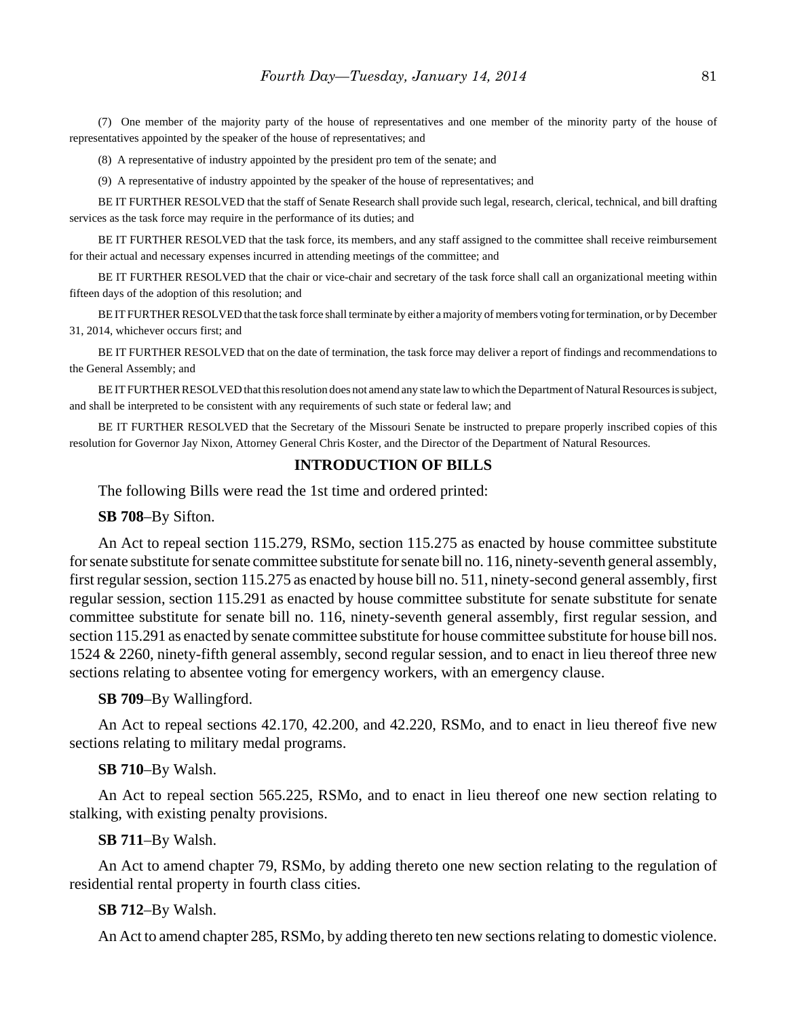(7) One member of the majority party of the house of representatives and one member of the minority party of the house of representatives appointed by the speaker of the house of representatives; and

(8) A representative of industry appointed by the president pro tem of the senate; and

(9) A representative of industry appointed by the speaker of the house of representatives; and

BE IT FURTHER RESOLVED that the staff of Senate Research shall provide such legal, research, clerical, technical, and bill drafting services as the task force may require in the performance of its duties; and

BE IT FURTHER RESOLVED that the task force, its members, and any staff assigned to the committee shall receive reimbursement for their actual and necessary expenses incurred in attending meetings of the committee; and

BE IT FURTHER RESOLVED that the chair or vice-chair and secretary of the task force shall call an organizational meeting within fifteen days of the adoption of this resolution; and

BE IT FURTHER RESOLVED that the task force shall terminate by either a majority of members voting for termination, or by December 31, 2014, whichever occurs first; and

BE IT FURTHER RESOLVED that on the date of termination, the task force may deliver a report of findings and recommendations to the General Assembly; and

BE IT FURTHER RESOLVED that this resolution does not amend any state law to which the Department of Natural Resources is subject, and shall be interpreted to be consistent with any requirements of such state or federal law; and

BE IT FURTHER RESOLVED that the Secretary of the Missouri Senate be instructed to prepare properly inscribed copies of this resolution for Governor Jay Nixon, Attorney General Chris Koster, and the Director of the Department of Natural Resources.

# **INTRODUCTION OF BILLS**

The following Bills were read the 1st time and ordered printed:

**SB 708**–By Sifton.

An Act to repeal section 115.279, RSMo, section 115.275 as enacted by house committee substitute for senate substitute for senate committee substitute for senate bill no. 116, ninety-seventh general assembly, first regular session, section 115.275 as enacted by house bill no. 511, ninety-second general assembly, first regular session, section 115.291 as enacted by house committee substitute for senate substitute for senate committee substitute for senate bill no. 116, ninety-seventh general assembly, first regular session, and section 115.291 as enacted by senate committee substitute for house committee substitute for house bill nos. 1524 & 2260, ninety-fifth general assembly, second regular session, and to enact in lieu thereof three new sections relating to absentee voting for emergency workers, with an emergency clause.

**SB 709**–By Wallingford.

An Act to repeal sections 42.170, 42.200, and 42.220, RSMo, and to enact in lieu thereof five new sections relating to military medal programs.

#### **SB 710**–By Walsh.

An Act to repeal section 565.225, RSMo, and to enact in lieu thereof one new section relating to stalking, with existing penalty provisions.

**SB 711**–By Walsh.

An Act to amend chapter 79, RSMo, by adding thereto one new section relating to the regulation of residential rental property in fourth class cities.

#### **SB 712**–By Walsh.

An Act to amend chapter 285, RSMo, by adding thereto ten new sections relating to domestic violence.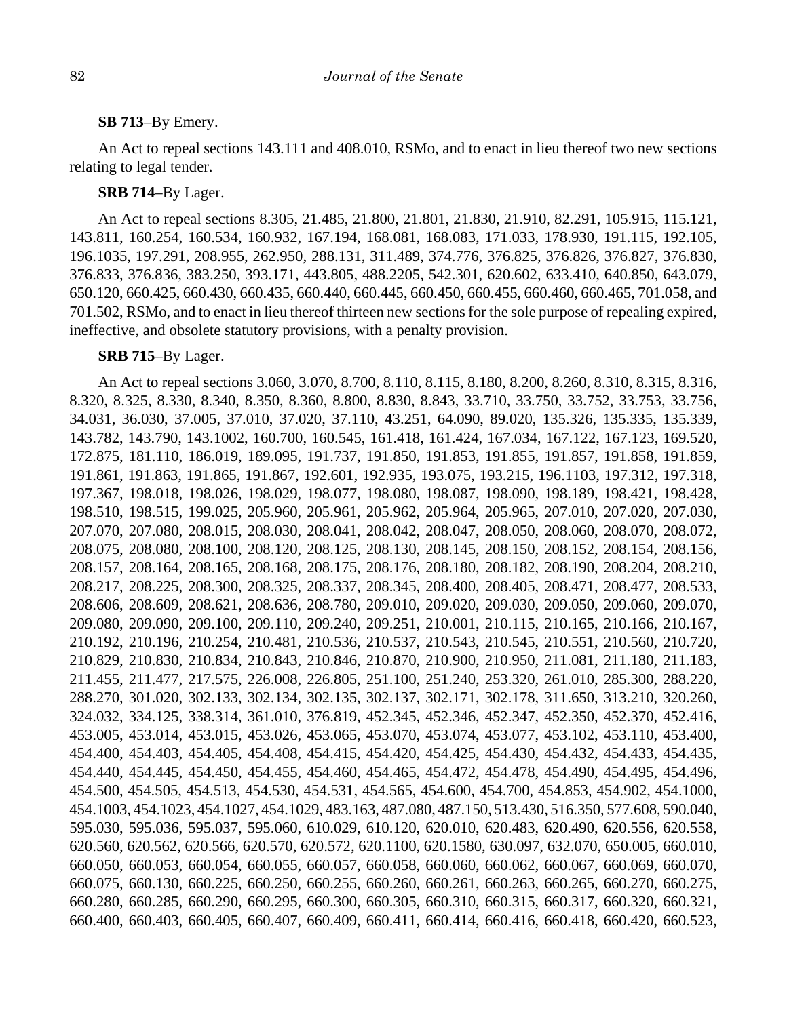### **SB 713**–By Emery.

An Act to repeal sections 143.111 and 408.010, RSMo, and to enact in lieu thereof two new sections relating to legal tender.

## **SRB 714**–By Lager.

An Act to repeal sections 8.305, 21.485, 21.800, 21.801, 21.830, 21.910, 82.291, 105.915, 115.121, 143.811, 160.254, 160.534, 160.932, 167.194, 168.081, 168.083, 171.033, 178.930, 191.115, 192.105, 196.1035, 197.291, 208.955, 262.950, 288.131, 311.489, 374.776, 376.825, 376.826, 376.827, 376.830, 376.833, 376.836, 383.250, 393.171, 443.805, 488.2205, 542.301, 620.602, 633.410, 640.850, 643.079, 650.120, 660.425, 660.430, 660.435, 660.440, 660.445, 660.450, 660.455, 660.460, 660.465, 701.058, and 701.502, RSMo, and to enact in lieu thereof thirteen new sections for the sole purpose of repealing expired, ineffective, and obsolete statutory provisions, with a penalty provision.

#### **SRB 715**–By Lager.

An Act to repeal sections 3.060, 3.070, 8.700, 8.110, 8.115, 8.180, 8.200, 8.260, 8.310, 8.315, 8.316, 8.320, 8.325, 8.330, 8.340, 8.350, 8.360, 8.800, 8.830, 8.843, 33.710, 33.750, 33.752, 33.753, 33.756, 34.031, 36.030, 37.005, 37.010, 37.020, 37.110, 43.251, 64.090, 89.020, 135.326, 135.335, 135.339, 143.782, 143.790, 143.1002, 160.700, 160.545, 161.418, 161.424, 167.034, 167.122, 167.123, 169.520, 172.875, 181.110, 186.019, 189.095, 191.737, 191.850, 191.853, 191.855, 191.857, 191.858, 191.859, 191.861, 191.863, 191.865, 191.867, 192.601, 192.935, 193.075, 193.215, 196.1103, 197.312, 197.318, 197.367, 198.018, 198.026, 198.029, 198.077, 198.080, 198.087, 198.090, 198.189, 198.421, 198.428, 198.510, 198.515, 199.025, 205.960, 205.961, 205.962, 205.964, 205.965, 207.010, 207.020, 207.030, 207.070, 207.080, 208.015, 208.030, 208.041, 208.042, 208.047, 208.050, 208.060, 208.070, 208.072, 208.075, 208.080, 208.100, 208.120, 208.125, 208.130, 208.145, 208.150, 208.152, 208.154, 208.156, 208.157, 208.164, 208.165, 208.168, 208.175, 208.176, 208.180, 208.182, 208.190, 208.204, 208.210, 208.217, 208.225, 208.300, 208.325, 208.337, 208.345, 208.400, 208.405, 208.471, 208.477, 208.533, 208.606, 208.609, 208.621, 208.636, 208.780, 209.010, 209.020, 209.030, 209.050, 209.060, 209.070, 209.080, 209.090, 209.100, 209.110, 209.240, 209.251, 210.001, 210.115, 210.165, 210.166, 210.167, 210.192, 210.196, 210.254, 210.481, 210.536, 210.537, 210.543, 210.545, 210.551, 210.560, 210.720, 210.829, 210.830, 210.834, 210.843, 210.846, 210.870, 210.900, 210.950, 211.081, 211.180, 211.183, 211.455, 211.477, 217.575, 226.008, 226.805, 251.100, 251.240, 253.320, 261.010, 285.300, 288.220, 288.270, 301.020, 302.133, 302.134, 302.135, 302.137, 302.171, 302.178, 311.650, 313.210, 320.260, 324.032, 334.125, 338.314, 361.010, 376.819, 452.345, 452.346, 452.347, 452.350, 452.370, 452.416, 453.005, 453.014, 453.015, 453.026, 453.065, 453.070, 453.074, 453.077, 453.102, 453.110, 453.400, 454.400, 454.403, 454.405, 454.408, 454.415, 454.420, 454.425, 454.430, 454.432, 454.433, 454.435, 454.440, 454.445, 454.450, 454.455, 454.460, 454.465, 454.472, 454.478, 454.490, 454.495, 454.496, 454.500, 454.505, 454.513, 454.530, 454.531, 454.565, 454.600, 454.700, 454.853, 454.902, 454.1000, 454.1003, 454.1023, 454.1027, 454.1029, 483.163, 487.080, 487.150, 513.430, 516.350, 577.608, 590.040, 595.030, 595.036, 595.037, 595.060, 610.029, 610.120, 620.010, 620.483, 620.490, 620.556, 620.558, 620.560, 620.562, 620.566, 620.570, 620.572, 620.1100, 620.1580, 630.097, 632.070, 650.005, 660.010, 660.050, 660.053, 660.054, 660.055, 660.057, 660.058, 660.060, 660.062, 660.067, 660.069, 660.070, 660.075, 660.130, 660.225, 660.250, 660.255, 660.260, 660.261, 660.263, 660.265, 660.270, 660.275, 660.280, 660.285, 660.290, 660.295, 660.300, 660.305, 660.310, 660.315, 660.317, 660.320, 660.321, 660.400, 660.403, 660.405, 660.407, 660.409, 660.411, 660.414, 660.416, 660.418, 660.420, 660.523,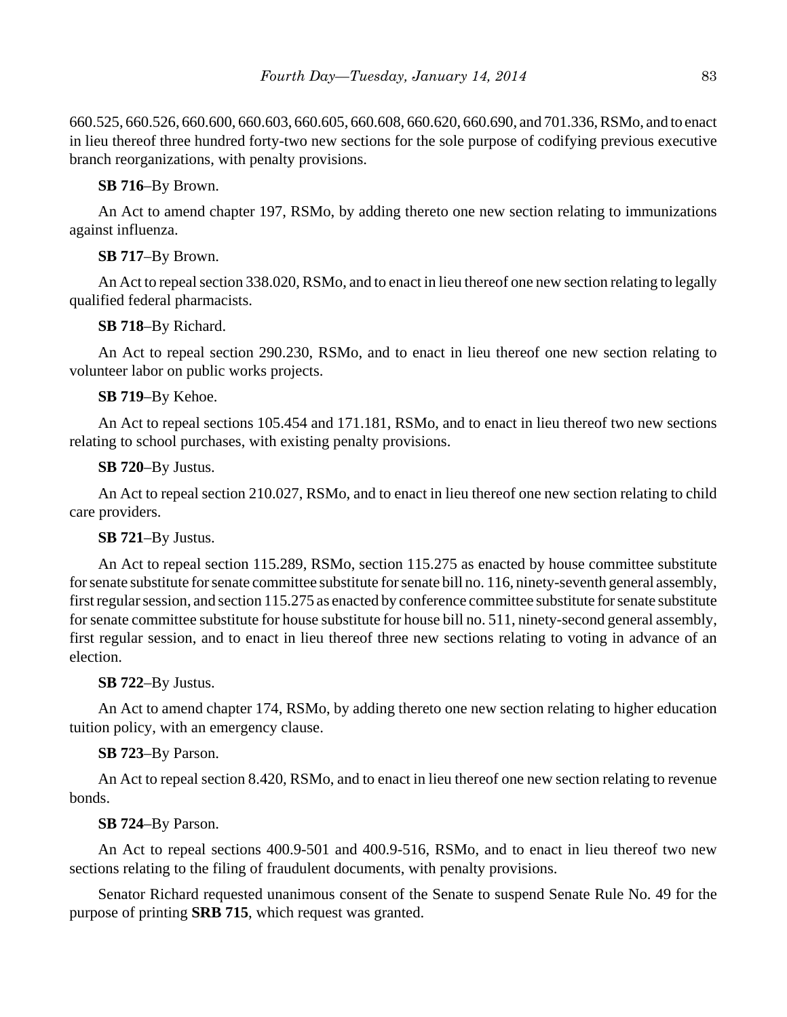660.525, 660.526, 660.600, 660.603, 660.605, 660.608, 660.620, 660.690, and 701.336, RSMo, and to enact in lieu thereof three hundred forty-two new sections for the sole purpose of codifying previous executive branch reorganizations, with penalty provisions.

# **SB 716**–By Brown.

An Act to amend chapter 197, RSMo, by adding thereto one new section relating to immunizations against influenza.

# **SB 717**–By Brown.

An Act to repeal section 338.020, RSMo, and to enact in lieu thereof one new section relating to legally qualified federal pharmacists.

# **SB 718**–By Richard.

An Act to repeal section 290.230, RSMo, and to enact in lieu thereof one new section relating to volunteer labor on public works projects.

# **SB 719**–By Kehoe.

An Act to repeal sections 105.454 and 171.181, RSMo, and to enact in lieu thereof two new sections relating to school purchases, with existing penalty provisions.

# **SB 720**–By Justus.

An Act to repeal section 210.027, RSMo, and to enact in lieu thereof one new section relating to child care providers.

# **SB 721**–By Justus.

An Act to repeal section 115.289, RSMo, section 115.275 as enacted by house committee substitute for senate substitute for senate committee substitute for senate bill no. 116, ninety-seventh general assembly, first regular session, and section 115.275 as enacted by conference committee substitute for senate substitute for senate committee substitute for house substitute for house bill no. 511, ninety-second general assembly, first regular session, and to enact in lieu thereof three new sections relating to voting in advance of an election.

# **SB 722**–By Justus.

An Act to amend chapter 174, RSMo, by adding thereto one new section relating to higher education tuition policy, with an emergency clause.

# **SB 723**–By Parson.

An Act to repeal section 8.420, RSMo, and to enact in lieu thereof one new section relating to revenue bonds.

# **SB 724**–By Parson.

An Act to repeal sections 400.9-501 and 400.9-516, RSMo, and to enact in lieu thereof two new sections relating to the filing of fraudulent documents, with penalty provisions.

Senator Richard requested unanimous consent of the Senate to suspend Senate Rule No. 49 for the purpose of printing **SRB 715**, which request was granted.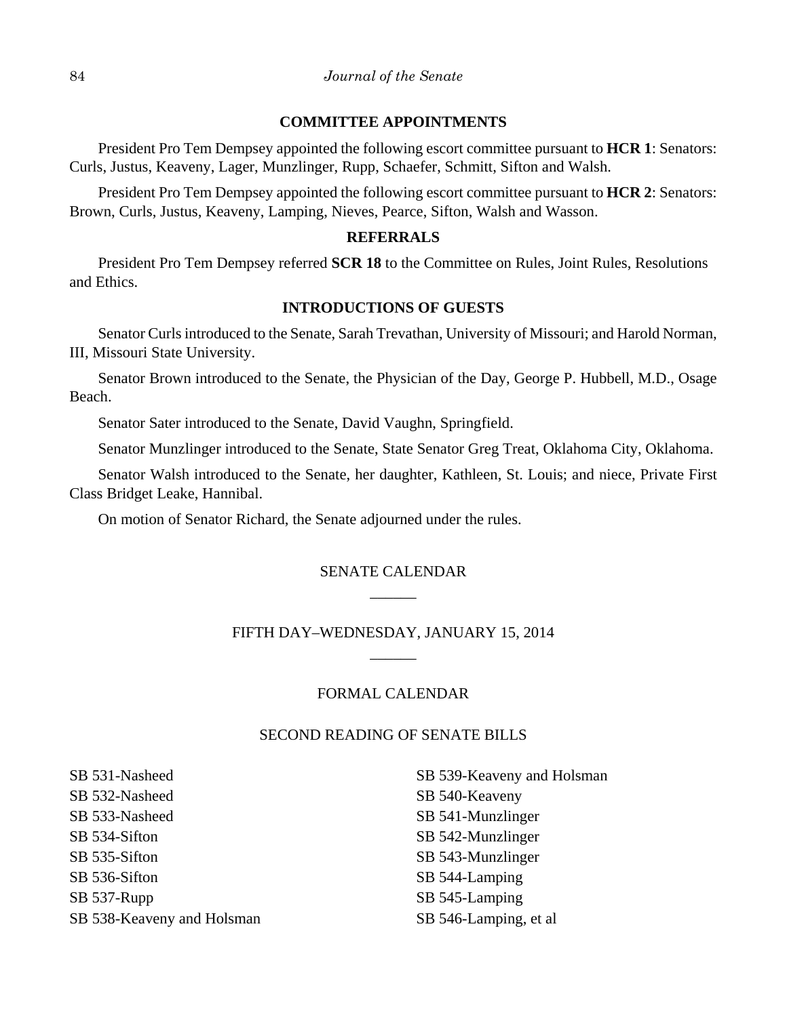### **COMMITTEE APPOINTMENTS**

President Pro Tem Dempsey appointed the following escort committee pursuant to **HCR 1**: Senators: Curls, Justus, Keaveny, Lager, Munzlinger, Rupp, Schaefer, Schmitt, Sifton and Walsh.

President Pro Tem Dempsey appointed the following escort committee pursuant to **HCR 2**: Senators: Brown, Curls, Justus, Keaveny, Lamping, Nieves, Pearce, Sifton, Walsh and Wasson.

#### **REFERRALS**

President Pro Tem Dempsey referred **SCR 18** to the Committee on Rules, Joint Rules, Resolutions and Ethics.

#### **INTRODUCTIONS OF GUESTS**

Senator Curls introduced to the Senate, Sarah Trevathan, University of Missouri; and Harold Norman, III, Missouri State University.

Senator Brown introduced to the Senate, the Physician of the Day, George P. Hubbell, M.D., Osage Beach.

Senator Sater introduced to the Senate, David Vaughn, Springfield.

Senator Munzlinger introduced to the Senate, State Senator Greg Treat, Oklahoma City, Oklahoma.

Senator Walsh introduced to the Senate, her daughter, Kathleen, St. Louis; and niece, Private First Class Bridget Leake, Hannibal.

On motion of Senator Richard, the Senate adjourned under the rules.

# SENATE CALENDAR \_\_\_\_\_\_

# FIFTH DAY–WEDNESDAY, JANUARY 15, 2014  $\overline{\phantom{a}}$

### FORMAL CALENDAR

## SECOND READING OF SENATE BILLS

SB 531-Nasheed SB 532-Nasheed SB 533-Nasheed SB 534-Sifton SB 535-Sifton SB 536-Sifton SB 537-Rupp SB 538-Keaveny and Holsman

SB 539-Keaveny and Holsman SB 540-Keaveny SB 541-Munzlinger SB 542-Munzlinger SB 543-Munzlinger SB 544-Lamping SB 545-Lamping SB 546-Lamping, et al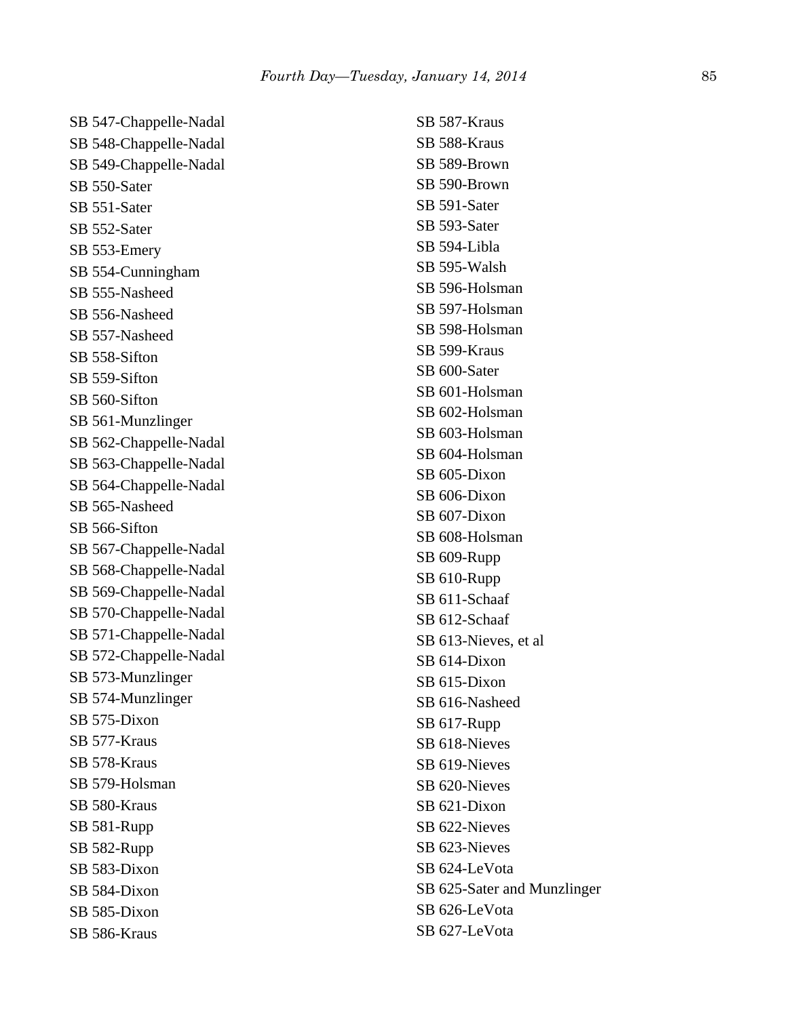| SB 547-Chappelle-Nadal |
|------------------------|
| SB 548-Chappelle-Nadal |
| SB 549-Chappelle-Nadal |
| SB 550-Sater           |
| SB 551-Sater           |
| SB 552-Sater           |
| SB 553-Emery           |
| SB 554-Cunningham      |
| SB 555-Nasheed         |
| SB 556-Nasheed         |
| SB 557-Nasheed         |
| SB 558-Sifton          |
| SB 559-Sifton          |
| SB 560-Sifton          |
| SB 561-Munzlinger      |
| SB 562-Chappelle-Nadal |
| SB 563-Chappelle-Nadal |
| SB 564-Chappelle-Nadal |
| SB 565-Nasheed         |
| SB 566-Sifton          |
| SB 567-Chappelle-Nadal |
| SB 568-Chappelle-Nadal |
| SB 569-Chappelle-Nadal |
| SB 570-Chappelle-Nadal |
| SB 571-Chappelle-Nadal |
| SB 572-Chappelle-Nadal |
| SB 573-Munzlinger      |
| SB 574-Munzlinger      |
| SB 575-Dixon           |
| SB 577-Kraus           |
| SB 578-Kraus           |
| SB 579-Holsman         |
| SB 580-Kraus           |
| SB 581-Rupp            |
| SB 582-Rupp            |
| SB 583-Dixon           |
| SB 584-Dixon           |
| SB 585-Dixon           |
| SB 586-Kraus           |

SB 587-Kraus SB 588-Kraus SB 589-Brown SB 590-Brown SB 591-Sater SB 593-Sater SB 594-Libla SB 595-Walsh SB 596-Holsman SB 597-Holsman SB 598-Holsman SB 599-Kraus SB 600-Sater SB 601-Holsman SB 602-Holsman SB 603-Holsman SB 604-Holsman SB 605-Dixon SB 606-Dixon SB 607-Dixon SB 608-Holsman SB 609-Rupp SB 610-Rupp SB 611-Schaaf SB 612-Schaaf SB 613-Nieves, et al SB 614-Dixon SB 615-Dixon SB 616-Nasheed SB 617-Rupp SB 618-Nieves SB 619-Nieves SB 620-Nieves SB 621-Dixon SB 622-Nieves SB 623-Nieves SB 624-LeVota SB 625-Sater and Munzlinger SB 626-LeVota SB 627-LeVota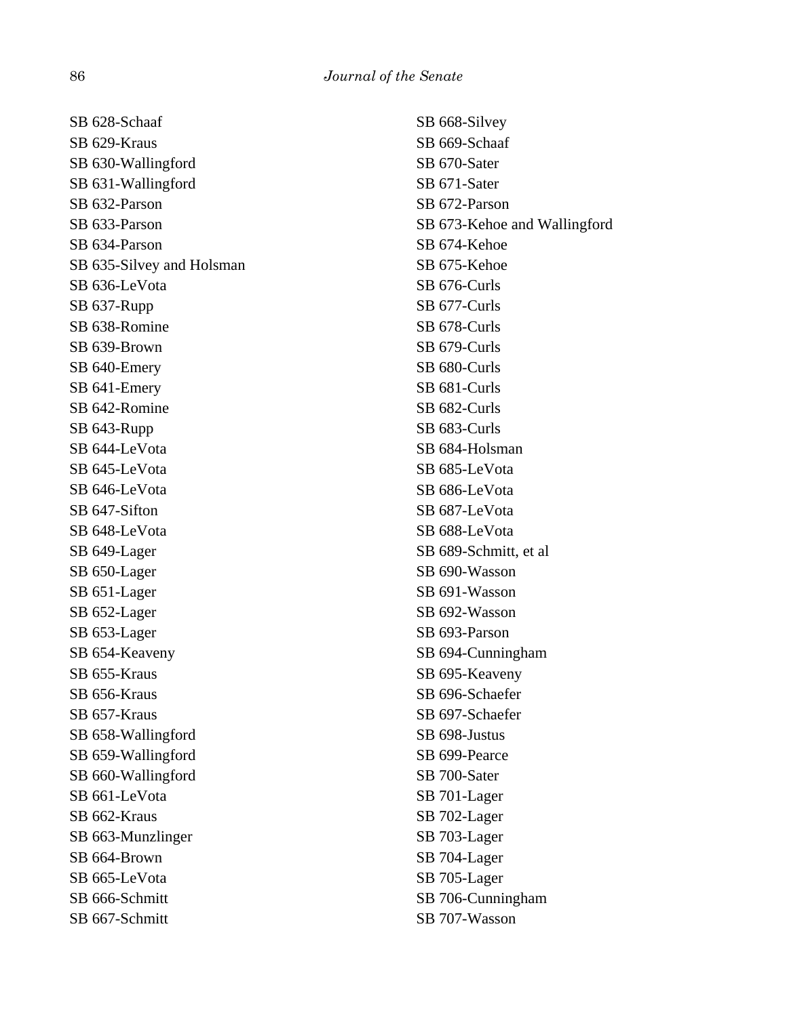| SB 628-Schaaf             | SB 668-Silvey                |
|---------------------------|------------------------------|
| SB 629-Kraus              | SB 669-Schaaf                |
| SB 630-Wallingford        | SB 670-Sater                 |
| SB 631-Wallingford        | SB 671-Sater                 |
| SB 632-Parson             | SB 672-Parson                |
| SB 633-Parson             | SB 673-Kehoe and Wallingford |
| SB 634-Parson             | SB 674-Kehoe                 |
| SB 635-Silvey and Holsman | SB 675-Kehoe                 |
| SB 636-LeVota             | SB 676-Curls                 |
| SB 637-Rupp               | SB 677-Curls                 |
| SB 638-Romine             | SB 678-Curls                 |
| SB 639-Brown              | SB 679-Curls                 |
| SB 640-Emery              | SB 680-Curls                 |
| SB 641-Emery              | SB 681-Curls                 |
| SB 642-Romine             | SB 682-Curls                 |
| SB 643-Rupp               | SB 683-Curls                 |
| SB 644-LeVota             | SB 684-Holsman               |
| SB 645-LeVota             | SB 685-LeVota                |
| SB 646-LeVota             | SB 686-LeVota                |
| SB 647-Sifton             | SB 687-LeVota                |
| SB 648-LeVota             | SB 688-LeVota                |
| SB 649-Lager              | SB 689-Schmitt, et al.       |
| SB 650-Lager              | SB 690-Wasson                |
| SB 651-Lager              | SB 691-Wasson                |
| SB 652-Lager              | SB 692-Wasson                |
| SB 653-Lager              | SB 693-Parson                |
| SB 654-Keaveny            | SB 694-Cunningham            |
| SB 655-Kraus              | SB 695-Keaveny               |
| SB 656-Kraus              | SB 696-Schaefer              |
| SB 657-Kraus              | SB 697-Schaefer              |
| SB 658-Wallingford        | SB 698-Justus                |
| SB 659-Wallingford        | SB 699-Pearce                |
| SB 660-Wallingford        | SB 700-Sater                 |
| SB 661-LeVota             | SB 701-Lager                 |
| SB 662-Kraus              | SB 702-Lager                 |
| SB 663-Munzlinger         | SB 703-Lager                 |
| SB 664-Brown              | SB 704-Lager                 |
| SB 665-LeVota             | SB 705-Lager                 |
| SB 666-Schmitt            | SB 706-Cunningham            |
| SB 667-Schmitt            | SB 707-Wasson                |
|                           |                              |